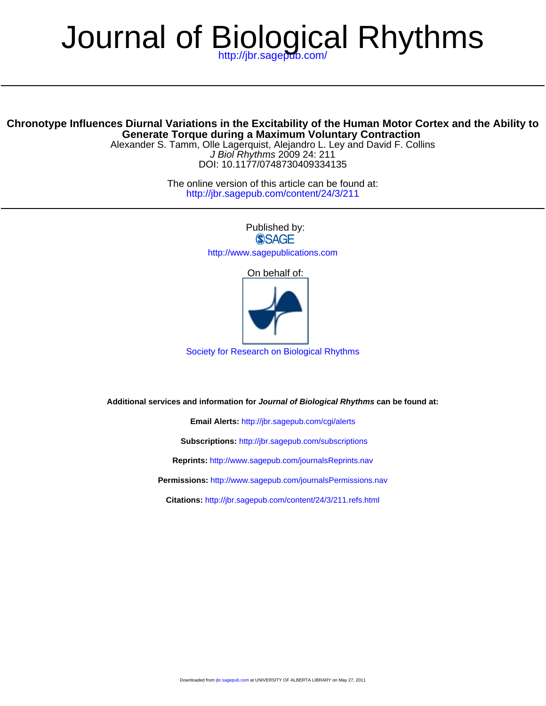# Journal of Biological Rhythms

# **Generate Torque during a Maximum Voluntary Contraction Chronotype Influences Diurnal Variations in the Excitability of the Human Motor Cortex and the Ability to**

DOI: 10.1177/0748730409334135 J Biol Rhythms 2009 24: 211 Alexander S. Tamm, Olle Lagerquist, Alejandro L. Ley and David F. Collins

> <http://jbr.sagepub.com/content/24/3/211> The online version of this article can be found at:

> > Published by: **SSAGE** <http://www.sagepublications.com>

> > > On behalf of:



[Society for Research on Biological Rhythms](http://www.srbr.org)

**Additional services and information for Journal of Biological Rhythms can be found at:**

**Email Alerts:** <http://jbr.sagepub.com/cgi/alerts>

**Subscriptions:** <http://jbr.sagepub.com/subscriptions>

**Reprints:** <http://www.sagepub.com/journalsReprints.nav>

**Permissions:** <http://www.sagepub.com/journalsPermissions.nav>

**Citations:** <http://jbr.sagepub.com/content/24/3/211.refs.html>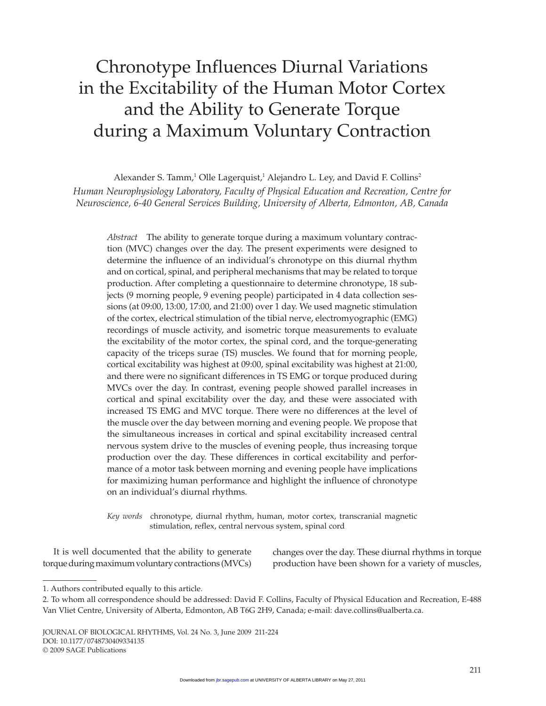# Chronotype Influences Diurnal Variations in the Excitability of the Human Motor Cortex and the Ability to Generate Torque during a Maximum Voluntary Contraction

Alexander S. Tamm,<sup>1</sup> Olle Lagerquist,<sup>1</sup> Alejandro L. Ley, and David F. Collins<sup>2</sup>

*Human Neurophysiology Laboratory, Faculty of Physical Education and Recreation, Centre for Neuroscience, 6-40 General Services Building, University of Alberta, Edmonton, AB, Canada*

*Abstract* The ability to generate torque during a maximum voluntary contraction (MVC) changes over the day. The present experiments were designed to determine the influence of an individual's chronotype on this diurnal rhythm and on cortical, spinal, and peripheral mechanisms that may be related to torque production. After completing a questionnaire to determine chronotype, 18 subjects (9 morning people, 9 evening people) participated in 4 data collection sessions (at 09:00, 13:00, 17:00, and 21:00) over 1 day. We used magnetic stimulation of the cortex, electrical stimulation of the tibial nerve, electromyographic (EMG) recordings of muscle activity, and isometric torque measurements to evaluate the excitability of the motor cortex, the spinal cord, and the torque-generating capacity of the triceps surae (TS) muscles. We found that for morning people, cortical excitability was highest at 09:00, spinal excitability was highest at 21:00, and there were no significant differences in TS EMG or torque produced during MVCs over the day. In contrast, evening people showed parallel increases in cortical and spinal excitability over the day, and these were associated with increased TS EMG and MVC torque. There were no differences at the level of the muscle over the day between morning and evening people. We propose that the simultaneous increases in cortical and spinal excitability increased central nervous system drive to the muscles of evening people, thus increasing torque production over the day. These differences in cortical excitability and performance of a motor task between morning and evening people have implications for maximizing human performance and highlight the influence of chronotype on an individual's diurnal rhythms.

*Key words* chronotype, diurnal rhythm, human, motor cortex, transcranial magnetic stimulation, reflex, central nervous system, spinal cord

It is well documented that the ability to generate torque during maximum voluntary contractions (MVCs) changes over the day. These diurnal rhythms in torque production have been shown for a variety of muscles,

<sup>1.</sup> Authors contributed equally to this article.

<sup>2.</sup> To whom all correspondence should be addressed: David F. Collins, Faculty of Physical Education and Recreation, E-488 Van Vliet Centre, University of Alberta, Edmonton, AB T6G 2H9, Canada; e-mail: dave.collins@ualberta.ca.

JOURNAL OF BIOLOGICAL RHYTHMS, Vol. 24 No. 3, June 2009 211-224 DOI: 10.1177/0748730409334135 © 2009 SAGE Publications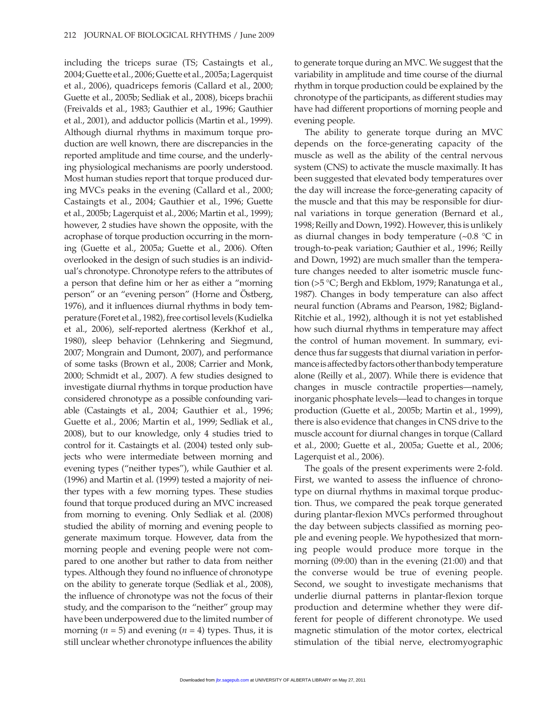including the triceps surae (TS; Castaingts et al., 2004; Guette et al., 2006; Guette et al., 2005a; Lagerquist et al., 2006), quadriceps femoris (Callard et al., 2000; Guette et al., 2005b; Sedliak et al., 2008), biceps brachii (Freivalds et al., 1983; Gauthier et al., 1996; Gauthier et al., 2001), and adductor pollicis (Martin et al., 1999). Although diurnal rhythms in maximum torque production are well known, there are discrepancies in the reported amplitude and time course, and the underlying physiological mechanisms are poorly understood. Most human studies report that torque produced during MVCs peaks in the evening (Callard et al., 2000; Castaingts et al., 2004; Gauthier et al., 1996; Guette et al., 2005b; Lagerquist et al., 2006; Martin et al., 1999); however, 2 studies have shown the opposite, with the acrophase of torque production occurring in the morning (Guette et al., 2005a; Guette et al., 2006). Often overlooked in the design of such studies is an individual's chronotype. Chronotype refers to the attributes of a person that define him or her as either a "morning person" or an "evening person" (Horne and Östberg, 1976), and it influences diurnal rhythms in body temperature (Foret et al., 1982), free cortisol levels (Kudielka et al., 2006), self-reported alertness (Kerkhof et al., 1980), sleep behavior (Lehnkering and Siegmund, 2007; Mongrain and Dumont, 2007), and performance of some tasks (Brown et al., 2008; Carrier and Monk, 2000; Schmidt et al., 2007). A few studies designed to investigate diurnal rhythms in torque production have considered chronotype as a possible confounding variable (Castaingts et al., 2004; Gauthier et al., 1996; Guette et al., 2006; Martin et al., 1999; Sedliak et al., 2008), but to our knowledge, only 4 studies tried to control for it. Castaingts et al. (2004) tested only subjects who were intermediate between morning and evening types ("neither types"), while Gauthier et al. (1996) and Martin et al. (1999) tested a majority of neither types with a few morning types. These studies found that torque produced during an MVC increased from morning to evening. Only Sedliak et al. (2008) studied the ability of morning and evening people to generate maximum torque. However, data from the morning people and evening people were not compared to one another but rather to data from neither types. Although they found no influence of chronotype on the ability to generate torque (Sedliak et al., 2008), the influence of chronotype was not the focus of their study, and the comparison to the "neither" group may have been underpowered due to the limited number of morning ( $n = 5$ ) and evening ( $n = 4$ ) types. Thus, it is still unclear whether chronotype influences the ability

to generate torque during an MVC. We suggest that the variability in amplitude and time course of the diurnal rhythm in torque production could be explained by the chronotype of the participants, as different studies may have had different proportions of morning people and evening people.

The ability to generate torque during an MVC depends on the force-generating capacity of the muscle as well as the ability of the central nervous system (CNS) to activate the muscle maximally. It has been suggested that elevated body temperatures over the day will increase the force-generating capacity of the muscle and that this may be responsible for diurnal variations in torque generation (Bernard et al., 1998; Reilly and Down, 1992). However, this is unlikely as diurnal changes in body temperature (~0.8 °C in trough-to-peak variation; Gauthier et al., 1996; Reilly and Down, 1992) are much smaller than the temperature changes needed to alter isometric muscle function (>5 °C; Bergh and Ekblom, 1979; Ranatunga et al., 1987). Changes in body temperature can also affect neural function (Abrams and Pearson, 1982; Bigland-Ritchie et al., 1992), although it is not yet established how such diurnal rhythms in temperature may affect the control of human movement. In summary, evidence thus far suggests that diurnal variation in performance is affected by factors other than body temperature alone (Reilly et al., 2007). While there is evidence that changes in muscle contractile properties—namely, inorganic phosphate levels—lead to changes in torque production (Guette et al., 2005b; Martin et al., 1999), there is also evidence that changes in CNS drive to the muscle account for diurnal changes in torque (Callard et al., 2000; Guette et al., 2005a; Guette et al., 2006; Lagerquist et al., 2006).

The goals of the present experiments were 2-fold. First, we wanted to assess the influence of chronotype on diurnal rhythms in maximal torque production. Thus, we compared the peak torque generated during plantar-flexion MVCs performed throughout the day between subjects classified as morning people and evening people. We hypothesized that morning people would produce more torque in the morning (09:00) than in the evening (21:00) and that the converse would be true of evening people. Second, we sought to investigate mechanisms that underlie diurnal patterns in plantar-flexion torque production and determine whether they were different for people of different chronotype. We used magnetic stimulation of the motor cortex, electrical stimulation of the tibial nerve, electromyographic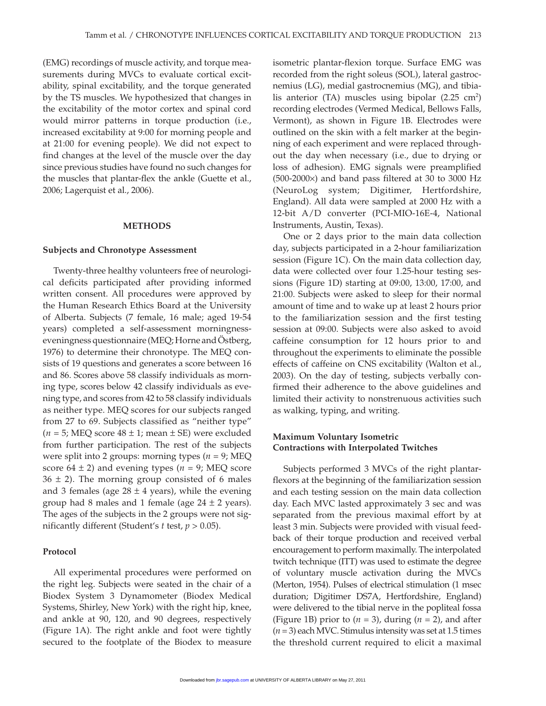(EMG) recordings of muscle activity, and torque measurements during MVCs to evaluate cortical excitability, spinal excitability, and the torque generated by the TS muscles. We hypothesized that changes in the excitability of the motor cortex and spinal cord would mirror patterns in torque production (i.e., increased excitability at 9:00 for morning people and at 21:00 for evening people). We did not expect to find changes at the level of the muscle over the day since previous studies have found no such changes for the muscles that plantar-flex the ankle (Guette et al., 2006; Lagerquist et al., 2006).

## **METHODS**

# **Subjects and Chronotype Assessment**

Twenty-three healthy volunteers free of neurological deficits participated after providing informed written consent. All procedures were approved by the Human Research Ethics Board at the University of Alberta. Subjects (7 female, 16 male; aged 19-54 years) completed a self-assessment morningnesseveningness questionnaire (MEQ; Horne and Östberg, 1976) to determine their chronotype. The MEQ consists of 19 questions and generates a score between 16 and 86. Scores above 58 classify individuals as morning type, scores below 42 classify individuals as evening type, and scores from 42 to 58 classify individuals as neither type. MEQ scores for our subjects ranged from 27 to 69. Subjects classified as "neither type"  $(n = 5; \text{MEQ score } 48 \pm 1; \text{ mean } \pm \text{ SE})$  were excluded from further participation. The rest of the subjects were split into 2 groups: morning types (*n* = 9; MEQ score  $64 \pm 2$ ) and evening types ( $n = 9$ ; MEQ score  $36 \pm 2$ ). The morning group consisted of 6 males and 3 females (age  $28 \pm 4$  years), while the evening group had 8 males and 1 female (age  $24 \pm 2$  years). The ages of the subjects in the 2 groups were not significantly different (Student's *t* test, *p* > 0.05).

#### **Protocol**

All experimental procedures were performed on the right leg. Subjects were seated in the chair of a Biodex System 3 Dynamometer (Biodex Medical Systems, Shirley, New York) with the right hip, knee, and ankle at 90, 120, and 90 degrees, respectively (Figure 1A). The right ankle and foot were tightly secured to the footplate of the Biodex to measure isometric plantar-flexion torque. Surface EMG was recorded from the right soleus (SOL), lateral gastrocnemius (LG), medial gastrocnemius (MG), and tibialis anterior (TA) muscles using bipolar  $(2.25 \text{ cm}^2)$ recording electrodes (Vermed Medical, Bellows Falls, Vermont), as shown in Figure 1B. Electrodes were outlined on the skin with a felt marker at the beginning of each experiment and were replaced throughout the day when necessary (i.e., due to drying or loss of adhesion). EMG signals were preamplified (500-2000×) and band pass filtered at 30 to 3000 Hz (NeuroLog system; Digitimer, Hertfordshire, England). All data were sampled at 2000 Hz with a 12-bit A/D converter (PCI-MIO-16E-4, National Instruments, Austin, Texas).

One or 2 days prior to the main data collection day, subjects participated in a 2-hour familiarization session (Figure 1C). On the main data collection day, data were collected over four 1.25-hour testing sessions (Figure 1D) starting at 09:00, 13:00, 17:00, and 21:00. Subjects were asked to sleep for their normal amount of time and to wake up at least 2 hours prior to the familiarization session and the first testing session at 09:00. Subjects were also asked to avoid caffeine consumption for 12 hours prior to and throughout the experiments to eliminate the possible effects of caffeine on CNS excitability (Walton et al., 2003). On the day of testing, subjects verbally confirmed their adherence to the above guidelines and limited their activity to nonstrenuous activities such as walking, typing, and writing.

# **Maximum Voluntary Isometric Contractions with Interpolated Twitches**

Subjects performed 3 MVCs of the right plantarflexors at the beginning of the familiarization session and each testing session on the main data collection day. Each MVC lasted approximately 3 sec and was separated from the previous maximal effort by at least 3 min. Subjects were provided with visual feedback of their torque production and received verbal encouragement to perform maximally. The interpolated twitch technique (ITT) was used to estimate the degree of voluntary muscle activation during the MVCs (Merton, 1954). Pulses of electrical stimulation (1 msec duration; Digitimer DS7A, Hertfordshire, England) were delivered to the tibial nerve in the popliteal fossa (Figure 1B) prior to  $(n = 3)$ , during  $(n = 2)$ , and after (*n* = 3) each MVC. Stimulus intensity was set at 1.5 times the threshold current required to elicit a maximal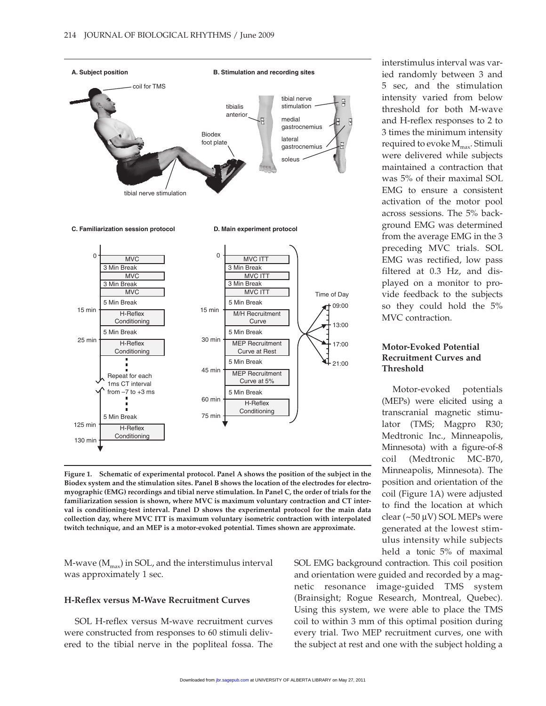

**Figure 1. Schematic of experimental protocol. Panel A shows the position of the subject in the Biodex system and the stimulation sites. Panel B shows the location of the electrodes for electromyographic (EMG) recordings and tibial nerve stimulation. In Panel C, the order of trials for the familiarization session is shown, where MVC is maximum voluntary contraction and CT interval is conditioning-test interval. Panel D shows the experimental protocol for the main data collection day, where MVC ITT is maximum voluntary isometric contraction with interpolated twitch technique, and an MEP is a motor-evoked potential. Times shown are approximate.**

M-wave  $(M_{max})$  in SOL, and the interstimulus interval was approximately 1 sec.

#### **H-Reflex versus M-Wave Recruitment Curves**

SOL H-reflex versus M-wave recruitment curves were constructed from responses to 60 stimuli delivered to the tibial nerve in the popliteal fossa. The

interstimulus interval was varied randomly between 3 and 5 sec, and the stimulation intensity varied from below threshold for both M-wave and H-reflex responses to 2 to 3 times the minimum intensity required to evoke  $M_{\text{max}}$ . Stimuli were delivered while subjects maintained a contraction that was 5% of their maximal SOL EMG to ensure a consistent activation of the motor pool across sessions. The 5% background EMG was determined from the average EMG in the 3 preceding MVC trials. SOL EMG was rectified, low pass filtered at 0.3 Hz, and displayed on a monitor to provide feedback to the subjects so they could hold the 5% MVC contraction.

# **Motor-Evoked Potential Recruitment Curves and Threshold**

Motor-evoked potentials (MEPs) were elicited using a transcranial magnetic stimulator (TMS; Magpro R30; Medtronic Inc., Minneapolis, Minnesota) with a figure-of-8 coil (Medtronic MC-B70, Minneapolis, Minnesota). The position and orientation of the coil (Figure 1A) were adjusted to find the location at which clear (~50 µV) SOL MEPs were generated at the lowest stimulus intensity while subjects held a tonic 5% of maximal

SOL EMG background contraction. This coil position and orientation were guided and recorded by a magnetic resonance image-guided TMS system (Brainsight; Rogue Research, Montreal, Quebec). Using this system, we were able to place the TMS coil to within 3 mm of this optimal position during every trial. Two MEP recruitment curves, one with the subject at rest and one with the subject holding a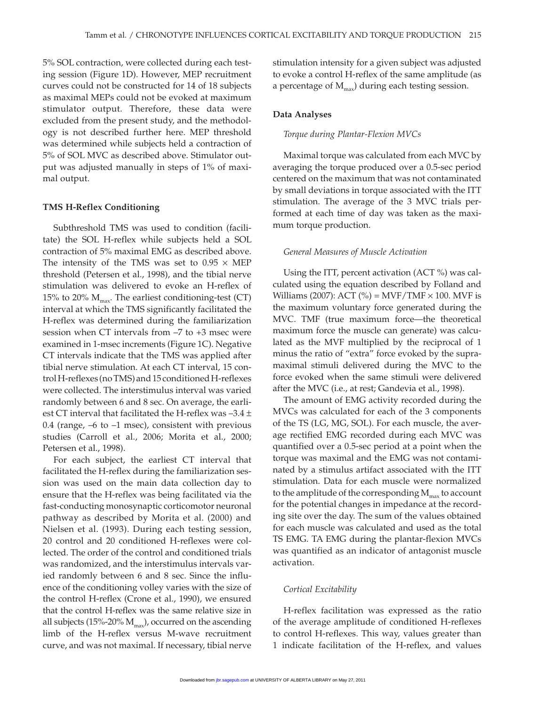5% SOL contraction, were collected during each testing session (Figure 1D). However, MEP recruitment curves could not be constructed for 14 of 18 subjects as maximal MEPs could not be evoked at maximum stimulator output. Therefore, these data were excluded from the present study, and the methodology is not described further here. MEP threshold was determined while subjects held a contraction of 5% of SOL MVC as described above. Stimulator output was adjusted manually in steps of 1% of maximal output.

# **TMS H-Reflex Conditioning**

Subthreshold TMS was used to condition (facilitate) the SOL H-reflex while subjects held a SOL contraction of 5% maximal EMG as described above. The intensity of the TMS was set to  $0.95 \times \text{MEP}$ threshold (Petersen et al., 1998), and the tibial nerve stimulation was delivered to evoke an H-reflex of 15% to 20%  $M_{\text{max}}$ . The earliest conditioning-test (CT) interval at which the TMS significantly facilitated the H-reflex was determined during the familiarization session when CT intervals from –7 to +3 msec were examined in 1-msec increments (Figure 1C). Negative CT intervals indicate that the TMS was applied after tibial nerve stimulation. At each CT interval, 15 control H-reflexes (no TMS) and 15 conditioned H-reflexes were collected. The interstimulus interval was varied randomly between 6 and 8 sec. On average, the earliest CT interval that facilitated the H-reflex was –3.4 ± 0.4 (range,  $-6$  to  $-1$  msec), consistent with previous studies (Carroll et al., 2006; Morita et al., 2000; Petersen et al., 1998).

For each subject, the earliest CT interval that facilitated the H-reflex during the familiarization session was used on the main data collection day to ensure that the H-reflex was being facilitated via the fast-conducting monosynaptic corticomotor neuronal pathway as described by Morita et al. (2000) and Nielsen et al. (1993). During each testing session, 20 control and 20 conditioned H-reflexes were collected. The order of the control and conditioned trials was randomized, and the interstimulus intervals varied randomly between 6 and 8 sec. Since the influence of the conditioning volley varies with the size of the control H-reflex (Crone et al., 1990), we ensured that the control H-reflex was the same relative size in all subjects (15%-20%  $M_{max}$ ), occurred on the ascending limb of the H-reflex versus M-wave recruitment curve, and was not maximal. If necessary, tibial nerve stimulation intensity for a given subject was adjusted to evoke a control H-reflex of the same amplitude (as a percentage of  $M_{\text{max}}$ ) during each testing session.

### **Data Analyses**

#### *Torque during Plantar-Flexion MVCs*

Maximal torque was calculated from each MVC by averaging the torque produced over a 0.5-sec period centered on the maximum that was not contaminated by small deviations in torque associated with the ITT stimulation. The average of the 3 MVC trials performed at each time of day was taken as the maximum torque production.

# *General Measures of Muscle Activation*

Using the ITT, percent activation (ACT %) was calculated using the equation described by Folland and Williams (2007): ACT (%) = MVF/TMF  $\times$  100. MVF is the maximum voluntary force generated during the MVC. TMF (true maximum force—the theoretical maximum force the muscle can generate) was calculated as the MVF multiplied by the reciprocal of 1 minus the ratio of "extra" force evoked by the supramaximal stimuli delivered during the MVC to the force evoked when the same stimuli were delivered after the MVC (i.e., at rest; Gandevia et al., 1998).

The amount of EMG activity recorded during the MVCs was calculated for each of the 3 components of the TS (LG, MG, SOL). For each muscle, the average rectified EMG recorded during each MVC was quantified over a 0.5-sec period at a point when the torque was maximal and the EMG was not contaminated by a stimulus artifact associated with the ITT stimulation. Data for each muscle were normalized to the amplitude of the corresponding  $M_{\text{max}}$  to account for the potential changes in impedance at the recording site over the day. The sum of the values obtained for each muscle was calculated and used as the total TS EMG. TA EMG during the plantar-flexion MVCs was quantified as an indicator of antagonist muscle activation.

#### *Cortical Excitability*

H-reflex facilitation was expressed as the ratio of the average amplitude of conditioned H-reflexes to control H-reflexes. This way, values greater than 1 indicate facilitation of the H-reflex, and values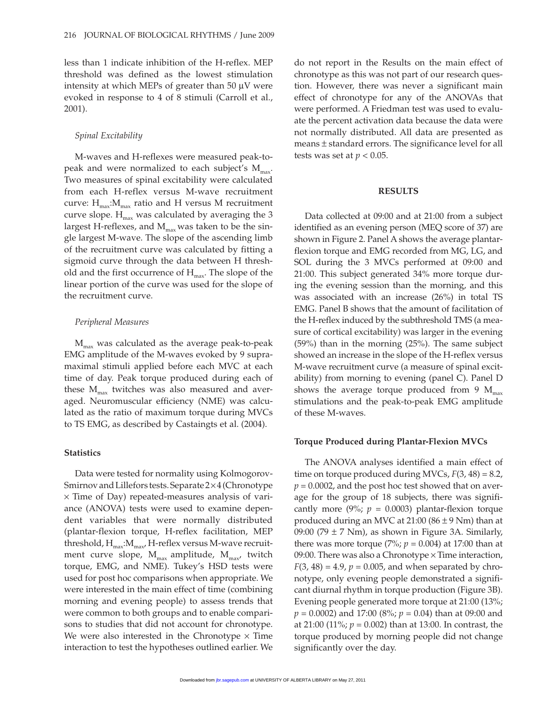less than 1 indicate inhibition of the H-reflex. MEP threshold was defined as the lowest stimulation intensity at which MEPs of greater than 50  $\mu$ V were evoked in response to 4 of 8 stimuli (Carroll et al., 2001).

#### *Spinal Excitability*

M-waves and H-reflexes were measured peak-topeak and were normalized to each subject's  $M_{\text{max}}$ . Two measures of spinal excitability were calculated from each H-reflex versus M-wave recruitment curve:  $H_{\text{max}}$ : $M_{\text{max}}$  ratio and H versus M recruitment curve slope.  $H_{max}$  was calculated by averaging the 3 largest H-reflexes, and  $M_{\text{max}}$  was taken to be the single largest M-wave. The slope of the ascending limb of the recruitment curve was calculated by fitting a sigmoid curve through the data between H threshold and the first occurrence of  $H_{\text{max}}$ . The slope of the linear portion of the curve was used for the slope of the recruitment curve.

# *Peripheral Measures*

 $M_{\text{max}}$  was calculated as the average peak-to-peak EMG amplitude of the M-waves evoked by 9 supramaximal stimuli applied before each MVC at each time of day. Peak torque produced during each of these  $M_{\text{max}}$  twitches was also measured and averaged. Neuromuscular efficiency (NME) was calculated as the ratio of maximum torque during MVCs to TS EMG, as described by Castaingts et al. (2004).

#### **Statistics**

Data were tested for normality using Kolmogorov-Smirnov and Lillefors tests. Separate 2 × 4 (Chronotype  $\times$  Time of Day) repeated-measures analysis of variance (ANOVA) tests were used to examine dependent variables that were normally distributed (plantar-flexion torque, H-reflex facilitation, MEP threshold,  $H_{\text{max}}$ : $M_{\text{max}}$ , H-reflex versus M-wave recruitment curve slope,  $M_{max}$  amplitude,  $M_{max}$ , twitch torque, EMG, and NME). Tukey's HSD tests were used for post hoc comparisons when appropriate. We were interested in the main effect of time (combining morning and evening people) to assess trends that were common to both groups and to enable comparisons to studies that did not account for chronotype. We were also interested in the Chronotype  $\times$  Time interaction to test the hypotheses outlined earlier. We

do not report in the Results on the main effect of chronotype as this was not part of our research question. However, there was never a significant main effect of chronotype for any of the ANOVAs that were performed. A Friedman test was used to evaluate the percent activation data because the data were not normally distributed. All data are presented as means ± standard errors. The significance level for all tests was set at  $p < 0.05$ .

# **RESULTS**

Data collected at 09:00 and at 21:00 from a subject identified as an evening person (MEQ score of 37) are shown in Figure 2. Panel A shows the average plantarflexion torque and EMG recorded from MG, LG, and SOL during the 3 MVCs performed at 09:00 and 21:00. This subject generated 34% more torque during the evening session than the morning, and this was associated with an increase (26%) in total TS EMG. Panel B shows that the amount of facilitation of the H-reflex induced by the subthreshold TMS (a measure of cortical excitability) was larger in the evening (59%) than in the morning (25%). The same subject showed an increase in the slope of the H-reflex versus M-wave recruitment curve (a measure of spinal excitability) from morning to evening (panel C). Panel D shows the average torque produced from 9  $M_{\text{max}}$ stimulations and the peak-to-peak EMG amplitude of these M-waves.

#### **Torque Produced during Plantar-Flexion MVCs**

The ANOVA analyses identified a main effect of time on torque produced during MVCs, *F*(3, 48) = 8.2, *p* = 0.0002, and the post hoc test showed that on average for the group of 18 subjects, there was significantly more (9%;  $p = 0.0003$ ) plantar-flexion torque produced during an MVC at  $21:00$  (86  $\pm$  9 Nm) than at 09:00 (79  $\pm$  7 Nm), as shown in Figure 3A. Similarly, there was more torque ( $7\%$ ;  $p = 0.004$ ) at 17:00 than at 09:00. There was also a Chronotype  $\times$  Time interaction,  $F(3, 48) = 4.9$ ,  $p = 0.005$ , and when separated by chronotype, only evening people demonstrated a significant diurnal rhythm in torque production (Figure 3B). Evening people generated more torque at 21:00 (13%; *p* = 0.0002) and 17:00 (8%; *p* = 0.04) than at 09:00 and at 21:00 (11%; *p* = 0.002) than at 13:00. In contrast, the torque produced by morning people did not change significantly over the day.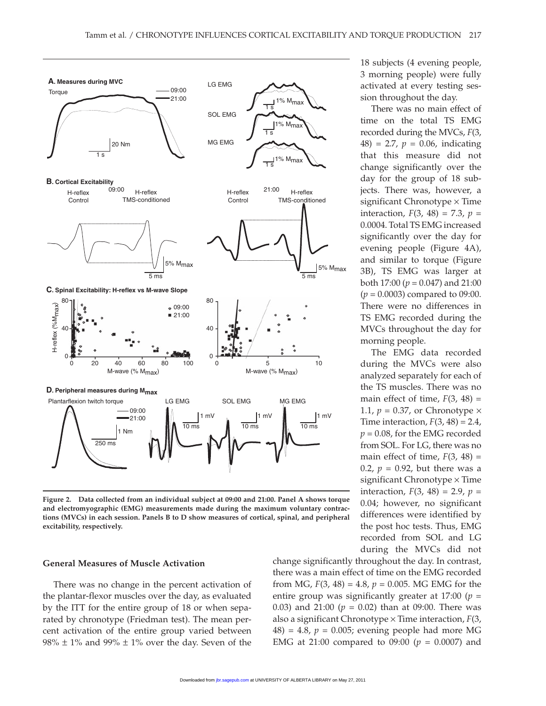

**Figure 2. Data collected from an individual subject at 09:00 and 21:00. Panel A shows torque and electromyographic (EMG) measurements made during the maximum voluntary contractions (MVCs) in each session. Panels B to D show measures of cortical, spinal, and peripheral excitability, respectively.**

# **General Measures of Muscle Activation**

There was no change in the percent activation of the plantar-flexor muscles over the day, as evaluated by the ITT for the entire group of 18 or when separated by chronotype (Friedman test). The mean percent activation of the entire group varied between  $98\% \pm 1\%$  and  $99\% \pm 1\%$  over the day. Seven of the

18 subjects (4 evening people, 3 morning people) were fully activated at every testing session throughout the day.

There was no main effect of time on the total TS EMG recorded during the MVCs, *F*(3, 48) = 2.7, *p* = 0.06, indicating that this measure did not change significantly over the day for the group of 18 subjects. There was, however, a significant Chronotype  $\times$  Time interaction,  $F(3, 48) = 7.3$ ,  $p =$ 0.0004. Total TS EMG increased significantly over the day for evening people (Figure 4A), and similar to torque (Figure 3B), TS EMG was larger at both 17:00 ( $p = 0.047$ ) and 21:00 (*p* = 0.0003) compared to 09:00. There were no differences in TS EMG recorded during the MVCs throughout the day for morning people.

The EMG data recorded during the MVCs were also analyzed separately for each of the TS muscles. There was no main effect of time,  $F(3, 48) =$ 1.1,  $p = 0.37$ , or Chronotype  $\times$ Time interaction,  $F(3, 48) = 2.4$ ,  $p = 0.08$ , for the EMG recorded from SOL. For LG, there was no main effect of time,  $F(3, 48) =$ 0.2,  $p = 0.92$ , but there was a significant Chronotype  $\times$  Time interaction,  $F(3, 48) = 2.9$ ,  $p =$ 0.04; however, no significant differences were identified by the post hoc tests. Thus, EMG recorded from SOL and LG during the MVCs did not

change significantly throughout the day. In contrast, there was a main effect of time on the EMG recorded from MG, *F*(3, 48) = 4.8, *p* = 0.005. MG EMG for the entire group was significantly greater at 17:00 (*p* = 0.03) and  $21:00 (p = 0.02)$  than at 09:00. There was also a significant Chronotype × Time interaction, *F*(3,  $48) = 4.8$ ,  $p = 0.005$ ; evening people had more MG EMG at 21:00 compared to 09:00 ( $p = 0.0007$ ) and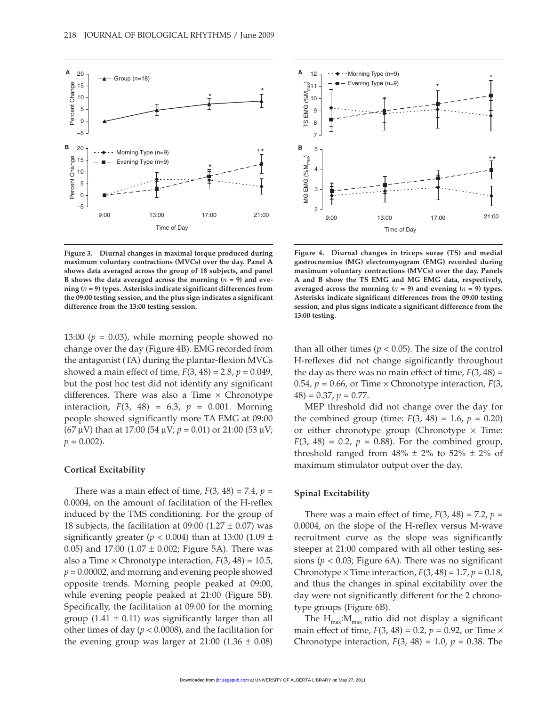

**Figure 3. Diurnal changes in maximal torque produced during maximum voluntary contractions (MVCs) over the day. Panel A shows data averaged across the group of 18 subjects, and panel B** shows the data averaged across the morning  $(n = 9)$  and eve**ning (***n* **= 9) types. Asterisks indicate significant differences from the 09:00 testing session, and the plus sign indicates a significant difference from the 13:00 testing session.**

13:00  $(p = 0.03)$ , while morning people showed no change over the day (Figure 4B). EMG recorded from the antagonist (TA) during the plantar-flexion MVCs showed a main effect of time, *F*(3, 48) = 2.8, *p* = 0.049, but the post hoc test did not identify any significant differences. There was also a Time  $\times$  Chronotype interaction,  $F(3, 48) = 6.3$ ,  $p = 0.001$ . Morning people showed significantly more TA EMG at 09:00 (67 µV) than at 17:00 (54 µV; *p* = 0.01) or 21:00 (53 µV;  $p = 0.002$ ).

# **Cortical Excitability**

There was a main effect of time,  $F(3, 48) = 7.4$ ,  $p =$ 0.0004, on the amount of facilitation of the H-reflex induced by the TMS conditioning. For the group of 18 subjects, the facilitation at  $09:00$  (1.27  $\pm$  0.07) was significantly greater ( $p < 0.004$ ) than at 13:00 (1.09  $\pm$ 0.05) and 17:00 (1.07  $\pm$  0.002; Figure 5A). There was also a Time  $\times$  Chronotype interaction,  $F(3, 48) = 10.5$ ,  $p = 0.00002$ , and morning and evening people showed opposite trends. Morning people peaked at 09:00, while evening people peaked at 21:00 (Figure 5B). Specifically, the facilitation at 09:00 for the morning group  $(1.41 \pm 0.11)$  was significantly larger than all other times of day (*p* < 0.0008), and the facilitation for the evening group was larger at  $21:00$  (1.36  $\pm$  0.08)



**Figure 4. Diurnal changes in triceps surae (TS) and medial gastrocnemius (MG) electromyogram (EMG) recorded during maximum voluntary contractions (MVCs) over the day. Panels A and B show the TS EMG and MG EMG data, respectively,**  averaged across the morning  $(n = 9)$  and evening  $(n = 9)$  types. **Asterisks indicate significant differences from the 09:00 testing session, and plus signs indicate a significant difference from the 13:00 testing.**

than all other times ( $p < 0.05$ ). The size of the control H-reflexes did not change significantly throughout the day as there was no main effect of time,  $F(3, 48) =$ 0.54,  $p = 0.66$ , or Time  $\times$  Chronotype interaction,  $F(3, 1)$  $48$ ) = 0.37,  $p = 0.77$ .

MEP threshold did not change over the day for the combined group (time:  $F(3, 48) = 1.6$ ,  $p = 0.20$ ) or either chronotype group (Chronotype  $\times$  Time: *F*(3, 48) = 0.2,  $p = 0.88$ ). For the combined group, threshold ranged from  $48\% \pm 2\%$  to  $52\% \pm 2\%$  of maximum stimulator output over the day.

### **Spinal Excitability**

There was a main effect of time,  $F(3, 48) = 7.2$ ,  $p =$ 0.0004, on the slope of the H-reflex versus M-wave recruitment curve as the slope was significantly steeper at 21:00 compared with all other testing sessions ( $p < 0.03$ ; Figure 6A). There was no significant Chronotype  $\times$  Time interaction,  $F(3, 48) = 1.7$ ,  $p = 0.18$ , and thus the changes in spinal excitability over the day were not significantly different for the 2 chronotype groups (Figure 6B).

The  $H_{\text{max}}$ : $M_{\text{max}}$  ratio did not display a significant main effect of time,  $F(3, 48) = 0.2$ ,  $p = 0.92$ , or Time  $\times$ Chronotype interaction,  $F(3, 48) = 1.0$ ,  $p = 0.38$ . The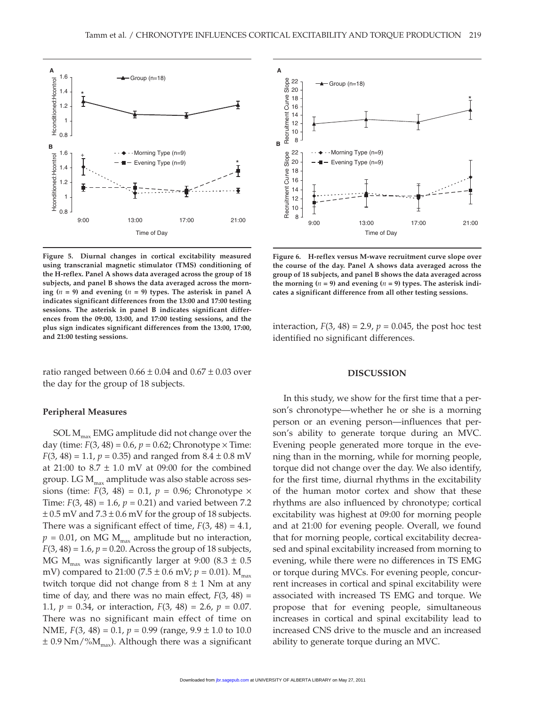

**Figure 5. Diurnal changes in cortical excitability measured using transcranial magnetic stimulator (TMS) conditioning of the H-reflex. Panel A shows data averaged across the group of 18 subjects, and panel B shows the data averaged across the morn**ing ( $n = 9$ ) and evening ( $n = 9$ ) types. The asterisk in panel A **indicates significant differences from the 13:00 and 17:00 testing sessions. The asterisk in panel B indicates significant differences from the 09:00, 13:00, and 17:00 testing sessions, and the plus sign indicates significant differences from the 13:00, 17:00, and 21:00 testing sessions.**

ratio ranged between  $0.66 \pm 0.04$  and  $0.67 \pm 0.03$  over the day for the group of 18 subjects.

# **Peripheral Measures**

SOL  $M_{\text{max}}$  EMG amplitude did not change over the day (time:  $F(3, 48) = 0.6$ ,  $p = 0.62$ ; Chronotype  $\times$  Time: *F*(3, 48) = 1.1,  $p = 0.35$ ) and ranged from  $8.4 \pm 0.8$  mV at 21:00 to  $8.7 \pm 1.0$  mV at 09:00 for the combined group. LG  $M_{\text{max}}$  amplitude was also stable across sessions (time:  $F(3, 48) = 0.1$ ,  $p = 0.96$ ; Chronotype  $\times$ Time:  $F(3, 48) = 1.6$ ,  $p = 0.21$ ) and varied between 7.2  $\pm$  0.5 mV and 7.3  $\pm$  0.6 mV for the group of 18 subjects. There was a significant effect of time, *F*(3, 48) = 4.1,  $p = 0.01$ , on MG M<sub>max</sub> amplitude but no interaction,  $F(3, 48) = 1.6$ ,  $p = 0.20$ . Across the group of 18 subjects, MG  $M_{\text{max}}$  was significantly larger at 9:00 (8.3  $\pm$  0.5 mV) compared to 21:00 (7.5  $\pm$  0.6 mV; *p* = 0.01). M<sub>max</sub> twitch torque did not change from  $8 \pm 1$  Nm at any time of day, and there was no main effect,  $F(3, 48) =$ 1.1, *p* = 0.34, or interaction, *F*(3, 48) = 2.6, *p* = 0.07. There was no significant main effect of time on NME, *F*(3, 48) = 0.1, *p* = 0.99 (range, 9.9 ± 1.0 to 10.0  $\pm$  0.9 Nm/% $M_{\text{max}}$ ). Although there was a significant



**Figure 6. H-reflex versus M-wave recruitment curve slope over the course of the day. Panel A shows data averaged across the group of 18 subjects, and panel B shows the data averaged across**  the morning ( $n = 9$ ) and evening ( $n = 9$ ) types. The asterisk indi**cates a significant difference from all other testing sessions.**

interaction,  $F(3, 48) = 2.9$ ,  $p = 0.045$ , the post hoc test identified no significant differences.

#### **DISCUSSION**

In this study, we show for the first time that a person's chronotype—whether he or she is a morning person or an evening person—influences that person's ability to generate torque during an MVC. Evening people generated more torque in the evening than in the morning, while for morning people, torque did not change over the day. We also identify, for the first time, diurnal rhythms in the excitability of the human motor cortex and show that these rhythms are also influenced by chronotype; cortical excitability was highest at 09:00 for morning people and at 21:00 for evening people. Overall, we found that for morning people, cortical excitability decreased and spinal excitability increased from morning to evening, while there were no differences in TS EMG or torque during MVCs. For evening people, concurrent increases in cortical and spinal excitability were associated with increased TS EMG and torque. We propose that for evening people, simultaneous increases in cortical and spinal excitability lead to increased CNS drive to the muscle and an increased ability to generate torque during an MVC.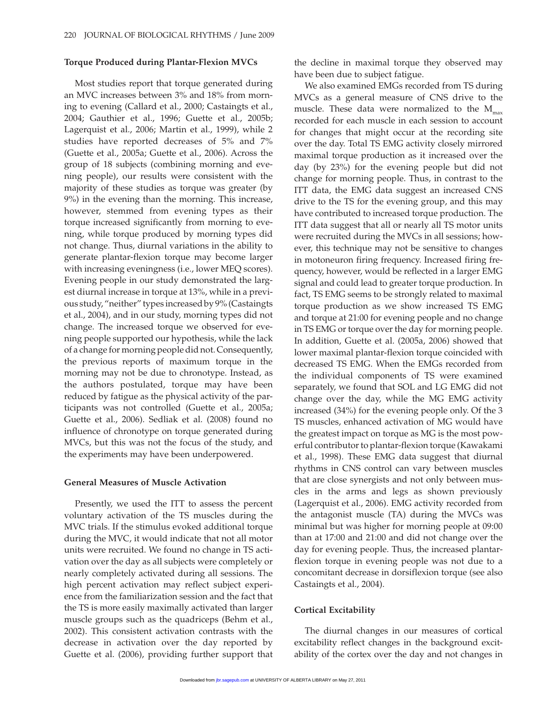# **Torque Produced during Plantar-Flexion MVCs**

Most studies report that torque generated during an MVC increases between 3% and 18% from morning to evening (Callard et al., 2000; Castaingts et al., 2004; Gauthier et al., 1996; Guette et al., 2005b; Lagerquist et al., 2006; Martin et al., 1999), while 2 studies have reported decreases of 5% and 7% (Guette et al., 2005a; Guette et al., 2006). Across the group of 18 subjects (combining morning and evening people), our results were consistent with the majority of these studies as torque was greater (by 9%) in the evening than the morning. This increase, however, stemmed from evening types as their torque increased significantly from morning to evening, while torque produced by morning types did not change. Thus, diurnal variations in the ability to generate plantar-flexion torque may become larger with increasing eveningness (i.e., lower MEQ scores). Evening people in our study demonstrated the largest diurnal increase in torque at 13%, while in a previous study, "neither" types increased by 9% (Castaingts et al., 2004), and in our study, morning types did not change. The increased torque we observed for evening people supported our hypothesis, while the lack of a change for morning people did not. Consequently, the previous reports of maximum torque in the morning may not be due to chronotype. Instead, as the authors postulated, torque may have been reduced by fatigue as the physical activity of the participants was not controlled (Guette et al., 2005a; Guette et al., 2006). Sedliak et al. (2008) found no influence of chronotype on torque generated during MVCs, but this was not the focus of the study, and the experiments may have been underpowered.

# **General Measures of Muscle Activation**

Presently, we used the ITT to assess the percent voluntary activation of the TS muscles during the MVC trials. If the stimulus evoked additional torque during the MVC, it would indicate that not all motor units were recruited. We found no change in TS activation over the day as all subjects were completely or nearly completely activated during all sessions. The high percent activation may reflect subject experience from the familiarization session and the fact that the TS is more easily maximally activated than larger muscle groups such as the quadriceps (Behm et al., 2002). This consistent activation contrasts with the decrease in activation over the day reported by Guette et al. (2006), providing further support that

the decline in maximal torque they observed may have been due to subject fatigue.

We also examined EMGs recorded from TS during MVCs as a general measure of CNS drive to the muscle. These data were normalized to the  $M_{\text{max}}$ recorded for each muscle in each session to account for changes that might occur at the recording site over the day. Total TS EMG activity closely mirrored maximal torque production as it increased over the day (by 23%) for the evening people but did not change for morning people. Thus, in contrast to the ITT data, the EMG data suggest an increased CNS drive to the TS for the evening group, and this may have contributed to increased torque production. The ITT data suggest that all or nearly all TS motor units were recruited during the MVCs in all sessions; however, this technique may not be sensitive to changes in motoneuron firing frequency. Increased firing frequency, however, would be reflected in a larger EMG signal and could lead to greater torque production. In fact, TS EMG seems to be strongly related to maximal torque production as we show increased TS EMG and torque at 21:00 for evening people and no change in TS EMG or torque over the day for morning people. In addition, Guette et al. (2005a, 2006) showed that lower maximal plantar-flexion torque coincided with decreased TS EMG. When the EMGs recorded from the individual components of TS were examined separately, we found that SOL and LG EMG did not change over the day, while the MG EMG activity increased (34%) for the evening people only. Of the 3 TS muscles, enhanced activation of MG would have the greatest impact on torque as MG is the most powerful contributor to plantar-flexion torque (Kawakami et al., 1998). These EMG data suggest that diurnal rhythms in CNS control can vary between muscles that are close synergists and not only between muscles in the arms and legs as shown previously (Lagerquist et al., 2006). EMG activity recorded from the antagonist muscle (TA) during the MVCs was minimal but was higher for morning people at 09:00 than at 17:00 and 21:00 and did not change over the day for evening people. Thus, the increased plantarflexion torque in evening people was not due to a concomitant decrease in dorsiflexion torque (see also Castaingts et al., 2004).

#### **Cortical Excitability**

The diurnal changes in our measures of cortical excitability reflect changes in the background excitability of the cortex over the day and not changes in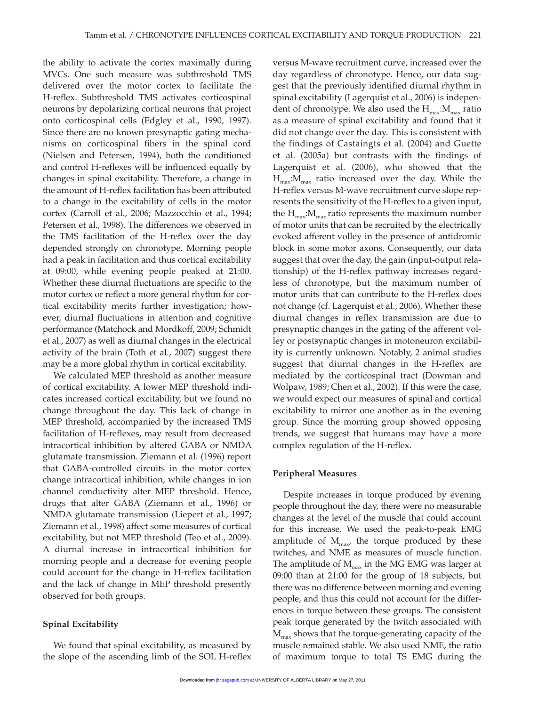the ability to activate the cortex maximally during MVCs. One such measure was subthreshold TMS delivered over the motor cortex to facilitate the H-reflex. Subthreshold TMS activates corticospinal neurons by depolarizing cortical neurons that project onto corticospinal cells (Edgley et al., 1990, 1997). Since there are no known presynaptic gating mechanisms on corticospinal fibers in the spinal cord (Nielsen and Petersen, 1994), both the conditioned and control H-reflexes will be influenced equally by changes in spinal excitability. Therefore, a change in the amount of H-reflex facilitation has been attributed to a change in the excitability of cells in the motor cortex (Carroll et al., 2006; Mazzocchio et al., 1994; Petersen et al., 1998). The differences we observed in the TMS facilitation of the H-reflex over the day depended strongly on chronotype. Morning people had a peak in facilitation and thus cortical excitability at 09:00, while evening people peaked at 21:00. Whether these diurnal fluctuations are specific to the motor cortex or reflect a more general rhythm for cortical excitability merits further investigation; however, diurnal fluctuations in attention and cognitive performance (Matchock and Mordkoff, 2009; Schmidt et al., 2007) as well as diurnal changes in the electrical activity of the brain (Toth et al., 2007) suggest there may be a more global rhythm in cortical excitability.

We calculated MEP threshold as another measure of cortical excitability. A lower MEP threshold indicates increased cortical excitability, but we found no change throughout the day. This lack of change in MEP threshold, accompanied by the increased TMS facilitation of H-reflexes, may result from decreased intracortical inhibition by altered GABA or NMDA glutamate transmission. Ziemann et al. (1996) report that GABA-controlled circuits in the motor cortex change intracortical inhibition, while changes in ion channel conductivity alter MEP threshold. Hence, drugs that alter GABA (Ziemann et al., 1996) or NMDA glutamate transmission (Liepert et al., 1997; Ziemann et al., 1998) affect some measures of cortical excitability, but not MEP threshold (Teo et al., 2009). A diurnal increase in intracortical inhibition for morning people and a decrease for evening people could account for the change in H-reflex facilitation and the lack of change in MEP threshold presently observed for both groups.

# **Spinal Excitability**

We found that spinal excitability, as measured by the slope of the ascending limb of the SOL H-reflex

versus M-wave recruitment curve, increased over the day regardless of chronotype. Hence, our data suggest that the previously identified diurnal rhythm in spinal excitability (Lagerquist et al., 2006) is independent of chronotype. We also used the  $H_{\text{max}}:M_{\text{max}}$  ratio as a measure of spinal excitability and found that it did not change over the day. This is consistent with the findings of Castaingts et al. (2004) and Guette et al. (2005a) but contrasts with the findings of Lagerquist et al. (2006), who showed that the  $H_{\text{max}}$ : $M_{\text{max}}$  ratio increased over the day. While the H-reflex versus M-wave recruitment curve slope represents the sensitivity of the H-reflex to a given input, the  $H_{\text{max}}$ : $M_{\text{max}}$  ratio represents the maximum number of motor units that can be recruited by the electrically evoked afferent volley in the presence of antidromic block in some motor axons. Consequently, our data suggest that over the day, the gain (input-output relationship) of the H-reflex pathway increases regardless of chronotype, but the maximum number of motor units that can contribute to the H-reflex does not change (cf. Lagerquist et al., 2006). Whether these diurnal changes in reflex transmission are due to presynaptic changes in the gating of the afferent volley or postsynaptic changes in motoneuron excitability is currently unknown. Notably, 2 animal studies suggest that diurnal changes in the H-reflex are mediated by the corticospinal tract (Dowman and Wolpaw, 1989; Chen et al., 2002). If this were the case, we would expect our measures of spinal and cortical excitability to mirror one another as in the evening group. Since the morning group showed opposing trends, we suggest that humans may have a more complex regulation of the H-reflex.

# **Peripheral Measures**

Despite increases in torque produced by evening people throughout the day, there were no measurable changes at the level of the muscle that could account for this increase. We used the peak-to-peak EMG amplitude of  $M_{\text{max}}$ , the torque produced by these twitches, and NME as measures of muscle function. The amplitude of  $\rm M_{max}$  in the MG EMG was larger at 09:00 than at 21:00 for the group of 18 subjects, but there was no difference between morning and evening people, and thus this could not account for the differences in torque between these groups. The consistent peak torque generated by the twitch associated with  $M_{\text{max}}$  shows that the torque-generating capacity of the muscle remained stable. We also used NME, the ratio of maximum torque to total TS EMG during the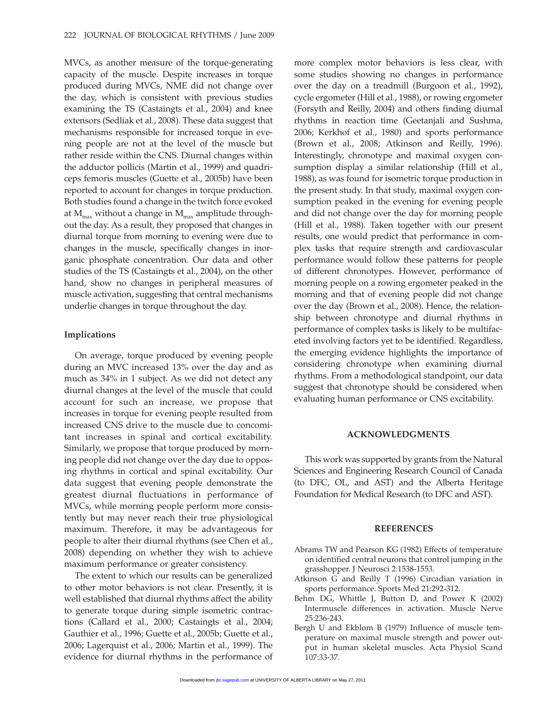MVCs, as another measure of the torque-generating capacity of the muscle. Despite increases in torque produced during MVCs, NME did not change over the day, which is consistent with previous studies examining the TS (Castaingts et al., 2004) and knee extensors (Sedliak et al., 2008). These data suggest that mechanisms responsible for increased torque in evening people are not at the level of the muscle but rather reside within the CNS. Diurnal changes within the adductor pollicis (Martin et al., 1999) and quadriceps femoris muscles (Guette et al., 2005b) have been reported to account for changes in torque production. Both studies found a change in the twitch force evoked at  $M_{\text{max}}$  without a change in  $M_{\text{max}}$  amplitude throughout the day. As a result, they proposed that changes in diurnal torque from morning to evening were due to changes in the muscle, specifically changes in inorganic phosphate concentration. Our data and other studies of the TS (Castaingts et al., 2004), on the other hand, show no changes in peripheral measures of muscle activation, suggesting that central mechanisms underlie changes in torque throughout the day.

#### **Implications**

On average, torque produced by evening people during an MVC increased 13% over the day and as much as 34% in 1 subject. As we did not detect any diurnal changes at the level of the muscle that could account for such an increase, we propose that increases in torque for evening people resulted from increased CNS drive to the muscle due to concomitant increases in spinal and cortical excitability. Similarly, we propose that torque produced by morning people did not change over the day due to opposing rhythms in cortical and spinal excitability. Our data suggest that evening people demonstrate the greatest diurnal fluctuations in performance of MVCs, while morning people perform more consistently but may never reach their true physiological maximum. Therefore, it may be advantageous for people to alter their diurnal rhythms (see Chen et al., 2008) depending on whether they wish to achieve maximum performance or greater consistency.

The extent to which our results can be generalized to other motor behaviors is not clear. Presently, it is well established that diurnal rhythms affect the ability to generate torque during simple isometric contractions (Callard et al., 2000; Castaingts et al., 2004; Gauthier et al., 1996; Guette et al., 2005b; Guette et al., 2006; Lagerquist et al., 2006; Martin et al., 1999). The evidence for diurnal rhythms in the performance of

more complex motor behaviors is less clear, with some studies showing no changes in performance over the day on a treadmill (Burgoon et al., 1992), cycle ergometer (Hill et al., 1988), or rowing ergometer (Forsyth and Reilly, 2004) and others finding diurnal rhythms in reaction time (Geetanjali and Sushma, 2006; Kerkhof et al., 1980) and sports performance (Brown et al., 2008; Atkinson and Reilly, 1996). Interestingly, chronotype and maximal oxygen consumption display a similar relationship (Hill et al., 1988), as was found for isometric torque production in the present study. In that study, maximal oxygen consumption peaked in the evening for evening people and did not change over the day for morning people (Hill et al., 1988). Taken together with our present results, one would predict that performance in complex tasks that require strength and cardiovascular performance would follow these patterns for people of different chronotypes. However, performance of morning people on a rowing ergometer peaked in the morning and that of evening people did not change over the day (Brown et al., 2008). Hence, the relationship between chronotype and diurnal rhythms in performance of complex tasks is likely to be multifaceted involving factors yet to be identified. Regardless, the emerging evidence highlights the importance of considering chronotype when examining diurnal rhythms. From a methodological standpoint, our data suggest that chronotype should be considered when evaluating human performance or CNS excitability.

#### **ACKNOWLEDGMENTS**

This work was supported by grants from the Natural Sciences and Engineering Research Council of Canada (to DFC, OL, and AST) and the Alberta Heritage Foundation for Medical Research (to DFC and AST).

# **REFERENCES**

- Abrams TW and Pearson KG (1982) Effects of temperature on identified central neurons that control jumping in the grasshopper. J Neurosci 2:1538-1553.
- Atkinson G and Reilly T (1996) Circadian variation in sports performance. Sports Med 21:292-312.
- Behm DG, Whittle J, Button D, and Power K (2002) Intermuscle differences in activation. Muscle Nerve 25:236-243.
- Bergh U and Ekblom B (1979) Influence of muscle temperature on maximal muscle strength and power output in human skeletal muscles. Acta Physiol Scand 107:33-37.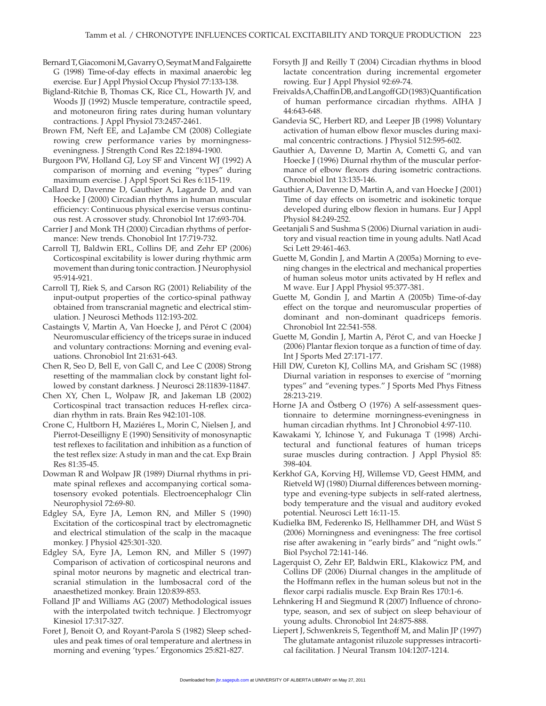- Bernard T, Giacomoni M, Gavarry O, Seymat M and Falgairette G (1998) Time-of-day effects in maximal anaerobic leg exercise. Eur J Appl Physiol Occup Physiol 77:133-138.
- Bigland-Ritchie B, Thomas CK, Rice CL, Howarth JV, and Woods JJ (1992) Muscle temperature, contractile speed, and motoneuron firing rates during human voluntary contractions. J Appl Physiol 73:2457-2461.
- Brown FM, Neft EE, and LaJambe CM (2008) Collegiate rowing crew performance varies by morningnesseveningness. J Strength Cond Res 22:1894-1900.
- Burgoon PW, Holland GJ, Loy SF and Vincent WJ (1992) A comparison of morning and evening "types" during maximum exercise. J Appl Sport Sci Res 6:115-119.
- Callard D, Davenne D, Gauthier A, Lagarde D, and van Hoecke J (2000) Circadian rhythms in human muscular efficiency: Continuous physical exercise versus continuous rest. A crossover study. Chronobiol Int 17:693-704.
- Carrier J and Monk TH (2000) Circadian rhythms of performance: New trends. Chonobiol Int 17:719-732.
- Carroll TJ, Baldwin ERL, Collins DF, and Zehr EP (2006) Corticospinal excitability is lower during rhythmic arm movement than during tonic contraction. J Neurophysiol 95:914-921.
- Carroll TJ, Riek S, and Carson RG (2001) Reliability of the input-output properties of the cortico-spinal pathway obtained from transcranial magnetic and electrical stimulation. J Neurosci Methods 112:193-202.
- Castaingts V, Martin A, Van Hoecke J, and Pérot C (2004) Neuromuscular efficiency of the triceps surae in induced and voluntary contractions: Morning and evening evaluations. Chronobiol Int 21:631-643.
- Chen R, Seo D, Bell E, von Gall C, and Lee C (2008) Strong resetting of the mammalian clock by constant light followed by constant darkness. J Neurosci 28:11839-11847.
- Chen XY, Chen L, Wolpaw JR, and Jakeman LB (2002) Corticospinal tract transaction reduces H-reflex circadian rhythm in rats. Brain Res 942:101-108.
- Crone C, Hultborn H, Maziéres L, Morin C, Nielsen J, and Pierrot-Deseilligny E (1990) Sensitivity of monosynaptic test reflexes to facilitation and inhibition as a function of the test reflex size: A study in man and the cat. Exp Brain Res 81:35-45.
- Dowman R and Wolpaw JR (1989) Diurnal rhythms in primate spinal reflexes and accompanying cortical somatosensory evoked potentials. Electroencephalogr Clin Neurophysiol 72:69-80.
- Edgley SA, Eyre JA, Lemon RN, and Miller S (1990) Excitation of the corticospinal tract by electromagnetic and electrical stimulation of the scalp in the macaque monkey. J Physiol 425:301-320.
- Edgley SA, Eyre JA, Lemon RN, and Miller S (1997) Comparison of activation of corticospinal neurons and spinal motor neurons by magnetic and electrical transcranial stimulation in the lumbosacral cord of the anaesthetized monkey. Brain 120:839-853.
- Folland JP and Williams AG (2007) Methodological issues with the interpolated twitch technique. J Electromyogr Kinesiol 17:317-327.
- Foret J, Benoit O, and Royant-Parola S (1982) Sleep schedules and peak times of oral temperature and alertness in morning and evening 'types.' Ergonomics 25:821-827.
- Forsyth JJ and Reilly T (2004) Circadian rhythms in blood lactate concentration during incremental ergometer rowing. Eur J Appl Physiol 92:69-74.
- Freivalds A, Chaffin DB, and Langoff GD (1983) Quantification of human performance circadian rhythms. AIHA J 44:643-648.
- Gandevia SC, Herbert RD, and Leeper JB (1998) Voluntary activation of human elbow flexor muscles during maximal concentric contractions. J Physiol 512:595-602.
- Gauthier A, Davenne D, Martin A, Cometti G, and van Hoecke J (1996) Diurnal rhythm of the muscular performance of elbow flexors during isometric contractions. Chronobiol Int 13:135-146.
- Gauthier A, Davenne D, Martin A, and van Hoecke J (2001) Time of day effects on isometric and isokinetic torque developed during elbow flexion in humans. Eur J Appl Physiol 84:249-252.
- Geetanjali S and Sushma S (2006) Diurnal variation in auditory and visual reaction time in young adults. Natl Acad Sci Lett 29:461-463.
- Guette M, Gondin J, and Martin A (2005a) Morning to evening changes in the electrical and mechanical properties of human soleus motor units activated by H reflex and M wave. Eur J Appl Physiol 95:377-381.
- Guette M, Gondin J, and Martin A (2005b) Time-of-day effect on the torque and neuromuscular properties of dominant and non-dominant quadriceps femoris. Chronobiol Int 22:541-558.
- Guette M, Gondin J, Martin A, Pérot C, and van Hoecke J (2006) Plantar flexion torque as a function of time of day. Int J Sports Med 27:171-177.
- Hill DW, Cureton KJ, Collins MA, and Grisham SC (1988) Diurnal variation in responses to exercise of "morning types" and "evening types." J Sports Med Phys Fitness 28:213-219.
- Horne JA and Östberg O (1976) A self-assessment questionnaire to determine morningness-eveningness in human circadian rhythms. Int J Chronobiol 4:97-110.
- Kawakami Y, Ichinose Y, and Fukunaga T (1998) Architectural and functional features of human triceps surae muscles during contraction. J Appl Physiol 85: 398-404.
- Kerkhof GA, Korving HJ, Willemse VD, Geest HMM, and Rietveld WJ (1980) Diurnal differences between morningtype and evening-type subjects in self-rated alertness, body temperature and the visual and auditory evoked potential. Neurosci Lett 16:11-15.
- Kudielka BM, Federenko IS, Hellhammer DH, and Wüst S (2006) Morningness and eveningness: The free cortisol rise after awakening in "early birds" and "night owls." Biol Psychol 72:141-146.
- Lagerquist O, Zehr EP, Baldwin ERL, Klakowicz PM, and Collins DF (2006) Diurnal changes in the amplitude of the Hoffmann reflex in the human soleus but not in the flexor carpi radialis muscle. Exp Brain Res 170:1-6.
- Lehnkering H and Siegmund R (2007) Influence of chronotype, season, and sex of subject on sleep behaviour of young adults. Chronobiol Int 24:875-888.
- Liepert J, Schwenkreis S, Tegenthoff M, and Malin JP (1997) The glutamate antagonist riluzole suppresses intracortical facilitation. J Neural Transm 104:1207-1214.